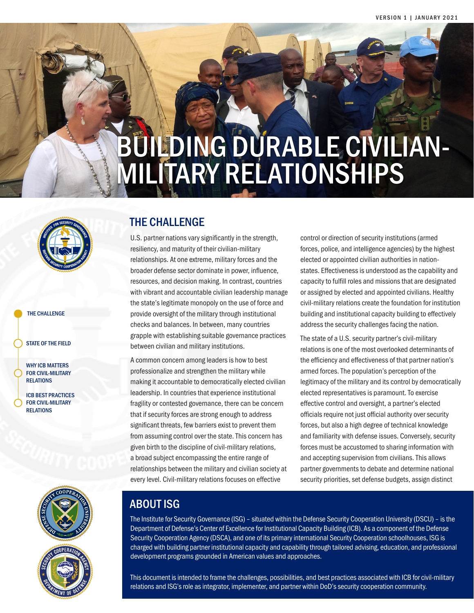# BUILDING DURABLE CIVILIAN-MILITARY RELATIONSHIPS



#### THE CHALLENGE

STATE OF THE FIELD

WHY ICB MATTERS FOR CIVIL-MILITARY RELATIONS

ICB BEST PRACTICES FOR CIVIL-MILITARY RELATIONS



# THE CHALLENGE

U.S. partner nations vary significantly in the strength, resiliency, and maturity of their civilian-military relationships. At one extreme, military forces and the broader defense sector dominate in power, influence, resources, and decision making. In contrast, countries with vibrant and accountable civilian leadership manage the state's legitimate monopoly on the use of force and provide oversight of the military through institutional checks and balances. In between, many countries grapple with establishing suitable governance practices between civilian and military institutions.

A common concern among leaders is how to best professionalize and strengthen the military while making it accountable to democratically elected civilian leadership. In countries that experience institutional fragility or contested governance, there can be concern that if security forces are strong enough to address significant threats, few barriers exist to prevent them from assuming control over the state. This concern has given birth to the discipline of civil-military relations, a broad subject encompassing the entire range of relationships between the military and civilian society at every level. Civil-military relations focuses on effective

control or direction of security institutions (armed forces, police, and intelligence agencies) by the highest elected or appointed civilian authorities in nationstates. Effectiveness is understood as the capability and capacity to fulfill roles and missions that are designated or assigned by elected and appointed civilians. Healthy civil-military relations create the foundation for institution building and institutional capacity building to effectively address the security challenges facing the nation.

The state of a U.S. security partner's civil-military relations is one of the most overlooked determinants of the efficiency and effectiveness of that partner nation's armed forces. The population's perception of the legitimacy of the military and its control by democratically elected representatives is paramount. To exercise effective control and oversight, a partner's elected officials require not just official authority over security forces, but also a high degree of technical knowledge and familiarity with defense issues. Conversely, security forces must be accustomed to sharing information with and accepting supervision from civilians. This allows partner governments to debate and determine national security priorities, set defense budgets, assign distinct

# ABOUT ISG

The Institute for Security Governance (ISG) – situated within the Defense Security Cooperation University (DSCU) – is the Department of Defense's Center of Excellence for Institutional Capacity Building (ICB). As a component of the Defense Security Cooperation Agency (DSCA), and one of its primary international Security Cooperation schoolhouses, ISG is charged with building partner institutional capacity and capability through tailored advising, education, and professional development programs grounded in American values and approaches.

This document is intended to frame the challenges, possibilities, and best practices associated with ICB for civil-military relations and ISG's role as integrator, implementer, and partner within DoD's security cooperation community.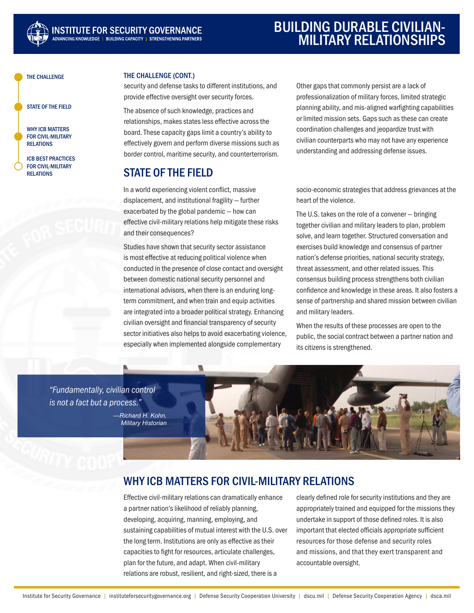

# BUILDING DURABLE CIVILIAN-MILITARY RELATIONSHIPS

THE CHALLENGE

STATE OF THE FIELD

WHY ICB MATTERS FOR CIVIL-MILITARY RELATIONS

ICB BEST PRACTICES FOR CIVIL-MILITARY **RELATIONS** 

#### THE CHALLENGE (CONT.)

security and defense tasks to different institutions, and provide effective oversight over security forces.

The absence of such knowledge, practices and relationships, makes states less effective across the board. These capacity gaps limit a country's ability to effectively govern and perform diverse missions such as border control, maritime security, and counterterrorism.

# STATE OF THE FIELD

In a world experiencing violent conflict, massive displacement, and institutional fragility — further exacerbated by the global pandemic — how can effective civil-military relations help mitigate these risks and their consequences?

Studies have shown that security sector assistance is most effective at reducing political violence when conducted in the presence of close contact and oversight between domestic national security personnel and international advisors, when there is an enduring longterm commitment, and when train and equip activities are integrated into a broader political strategy. Enhancing civilian oversight and financial transparency of security sector initiatives also helps to avoid exacerbating violence, especially when implemented alongside complementary

Other gaps that commonly persist are a lack of professionalization of military forces, limited strategic planning ability, and mis-aligned warfighting capabilities or limited mission sets. Gaps such as these can create coordination challenges and jeopardize trust with civilian counterparts who may not have any experience understanding and addressing defense issues.

socio-economic strategies that address grievances at the heart of the violence.

The U.S. takes on the role of a convener — bringing together civilian and military leaders to plan, problem solve, and learn together. Structured conversation and exercises build knowledge and consensus of partner nation's defense priorities, national security strategy, threat assessment, and other related issues. This consensus building process strengthens both civilian confidence and knowledge in these areas. It also fosters a sense of partnership and shared mission between civilian and military leaders.

When the results of these processes are open to the public, the social contract between a partner nation and its citizens is strengthened.

*"Fundamentally, civilian control is not a fact but a process."*

> *—Richard H. Kohn, Military Historian*



# WHY ICB MATTERS FOR CIVIL-MILITARY RELATIONS

Effective civil-military relations can dramatically enhance a partner nation's likelihood of reliably planning, developing, acquiring, manning, employing, and sustaining capabilities of mutual interest with the U.S. over the long term. Institutions are only as effective as their capacities to fight for resources, articulate challenges, plan for the future, and adapt. When civil-military relations are robust, resilient, and right-sized, there is a

clearly defined role for security institutions and they are appropriately trained and equipped for the missions they undertake in support of those defined roles. It is also important that elected officials appropriate sufficient resources for those defense and security roles and missions, and that they exert transparent and accountable oversight.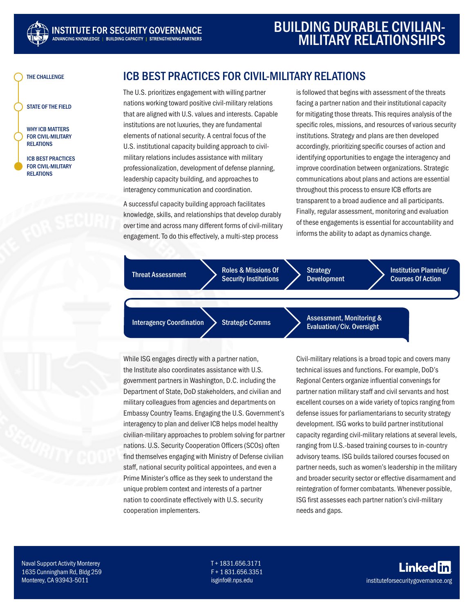

THE CHALLENGE

STATE OF THE FIELD

WHY ICB MATTERS FOR CIVIL-MILITARY RELATIONS

ICB BEST PRACTICES FOR CIVIL-MILITARY RELATIONS

# ICB BEST PRACTICES FOR CIVIL-MILITARY RELATIONS

The U.S. prioritizes engagement with willing partner nations working toward positive civil-military relations that are aligned with U.S. values and interests. Capable institutions are not luxuries, they are fundamental elements of national security. A central focus of the U.S. institutional capacity building approach to civilmilitary relations includes assistance with military professionalization, development of defense planning, leadership capacity building, and approaches to interagency communication and coordination.

A successful capacity building approach facilitates knowledge, skills, and relationships that develop durably over time and across many different forms of civil-military engagement. To do this effectively, a multi-step process

is followed that begins with assessment of the threats facing a partner nation and their institutional capacity for mitigating those threats. This requires analysis of the specific roles, missions, and resources of various security institutions. Strategy and plans are then developed accordingly, prioritizing specific courses of action and identifying opportunities to engage the interagency and improve coordination between organizations. Strategic communications about plans and actions are essential throughout this process to ensure ICB efforts are transparent to a broad audience and all participants. Finally, regular assessment, monitoring and evaluation of these engagements is essential for accountability and informs the ability to adapt as dynamics change.

Threat Assessment Roles & Missions Of Security Institutions **Strategy** Development Institution Planning/ Courses Of Action

Interagency Coordination Strategic Comms Assessment, Monitoring & Evaluation/Civ. Oversight

While ISG engages directly with a partner nation, the Institute also coordinates assistance with U.S. government partners in Washington, D.C. including the Department of State, DoD stakeholders, and civilian and military colleagues from agencies and departments on Embassy Country Teams. Engaging the U.S. Government's interagency to plan and deliver ICB helps model healthy civilian-military approaches to problem solving for partner nations. U.S. Security Cooperation Officers (SCOs) often find themselves engaging with Ministry of Defense civilian staff, national security political appointees, and even a Prime Minister's office as they seek to understand the unique problem context and interests of a partner nation to coordinate effectively with U.S. security cooperation implementers.

Civil-military relations is a broad topic and covers many technical issues and functions. For example, DoD's Regional Centers organize influential convenings for partner nation military staff and civil servants and host excellent courses on a wide variety of topics ranging from defense issues for parliamentarians to security strategy development. ISG works to build partner institutional capacity regarding civil-military relations at several levels, ranging from U.S.-based training courses to in-country advisory teams. ISG builds tailored courses focused on partner needs, such as women's leadership in the military and broader security sector or effective disarmament and reintegration of former combatants. Whenever possible, ISG first assesses each partner nation's civil-military needs and gaps.

Naval Support Activity Monterey 1635 Cunningham Rd, Bldg 259 Monterey, CA 93943-5011

T + 1831.656.3171 F + 1 831.656.3351 isginfo@.nps.edu

**Linkedfn** instituteforsecuritygovernance.org